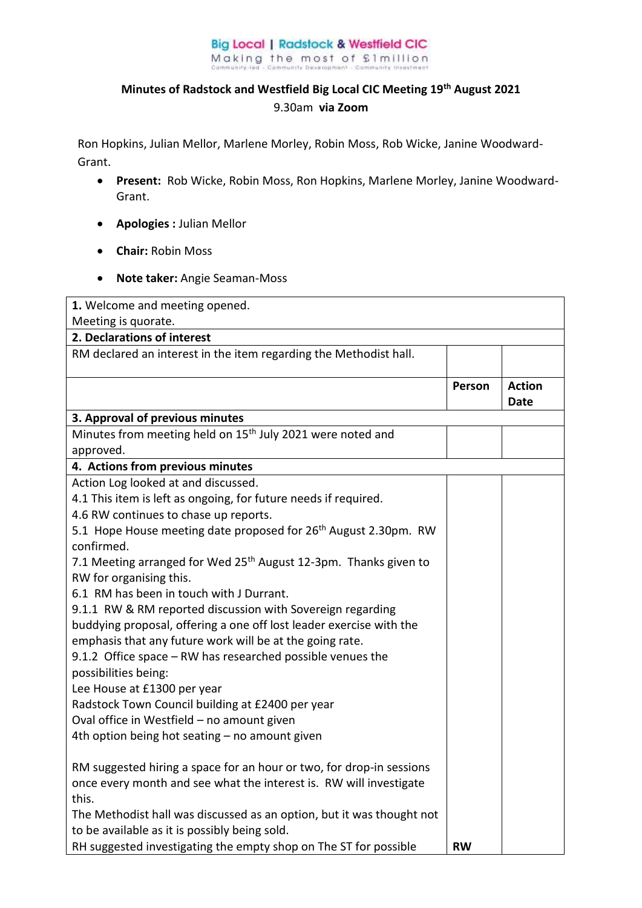## **Big Local | Radstock & Westfield CIC** Making the most of £1million

## **Minutes of Radstock and Westfield Big Local CIC Meeting 19th August 2021**  9.30am **via Zoom**

Ron Hopkins, Julian Mellor, Marlene Morley, Robin Moss, Rob Wicke, Janine Woodward-Grant.

- **Present:** Rob Wicke, Robin Moss, Ron Hopkins, Marlene Morley, Janine Woodward-Grant.
- **Apologies :** Julian Mellor
- **Chair:** Robin Moss
- **Note taker:** Angie Seaman-Moss

| 1. Welcome and meeting opened.                                                            |           |                              |  |
|-------------------------------------------------------------------------------------------|-----------|------------------------------|--|
| Meeting is quorate.                                                                       |           |                              |  |
| 2. Declarations of interest                                                               |           |                              |  |
| RM declared an interest in the item regarding the Methodist hall.                         |           |                              |  |
|                                                                                           | Person    | <b>Action</b><br><b>Date</b> |  |
| 3. Approval of previous minutes                                                           |           |                              |  |
| Minutes from meeting held on 15 <sup>th</sup> July 2021 were noted and                    |           |                              |  |
| approved.                                                                                 |           |                              |  |
| 4. Actions from previous minutes                                                          |           |                              |  |
| Action Log looked at and discussed.                                                       |           |                              |  |
| 4.1 This item is left as ongoing, for future needs if required.                           |           |                              |  |
| 4.6 RW continues to chase up reports.                                                     |           |                              |  |
| 5.1 Hope House meeting date proposed for 26 <sup>th</sup> August 2.30pm. RW<br>confirmed. |           |                              |  |
| 7.1 Meeting arranged for Wed 25 <sup>th</sup> August 12-3pm. Thanks given to              |           |                              |  |
| RW for organising this.                                                                   |           |                              |  |
| 6.1 RM has been in touch with J Durrant.                                                  |           |                              |  |
| 9.1.1 RW & RM reported discussion with Sovereign regarding                                |           |                              |  |
| buddying proposal, offering a one off lost leader exercise with the                       |           |                              |  |
| emphasis that any future work will be at the going rate.                                  |           |                              |  |
| 9.1.2 Office space - RW has researched possible venues the                                |           |                              |  |
| possibilities being:                                                                      |           |                              |  |
| Lee House at £1300 per year                                                               |           |                              |  |
| Radstock Town Council building at £2400 per year                                          |           |                              |  |
| Oval office in Westfield - no amount given                                                |           |                              |  |
| 4th option being hot seating - no amount given                                            |           |                              |  |
| RM suggested hiring a space for an hour or two, for drop-in sessions                      |           |                              |  |
| once every month and see what the interest is. RW will investigate                        |           |                              |  |
| this.                                                                                     |           |                              |  |
| The Methodist hall was discussed as an option, but it was thought not                     |           |                              |  |
| to be available as it is possibly being sold.                                             |           |                              |  |
| RH suggested investigating the empty shop on The ST for possible                          | <b>RW</b> |                              |  |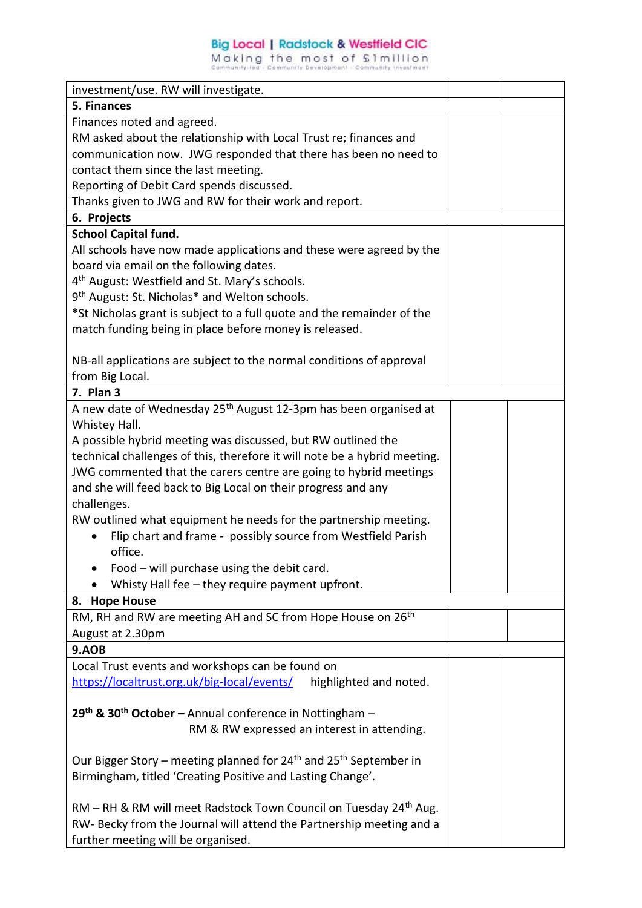## **Big Local | Radstock & Westfield CIC**

Making the most of £1million

| investment/use. RW will investigate.                                                      |  |
|-------------------------------------------------------------------------------------------|--|
| 5. Finances                                                                               |  |
| Finances noted and agreed.                                                                |  |
| RM asked about the relationship with Local Trust re; finances and                         |  |
| communication now. JWG responded that there has been no need to                           |  |
| contact them since the last meeting.                                                      |  |
| Reporting of Debit Card spends discussed.                                                 |  |
| Thanks given to JWG and RW for their work and report.                                     |  |
| 6. Projects                                                                               |  |
| <b>School Capital fund.</b>                                                               |  |
| All schools have now made applications and these were agreed by the                       |  |
| board via email on the following dates.                                                   |  |
| 4 <sup>th</sup> August: Westfield and St. Mary's schools.                                 |  |
| 9 <sup>th</sup> August: St. Nicholas* and Welton schools.                                 |  |
| *St Nicholas grant is subject to a full quote and the remainder of the                    |  |
| match funding being in place before money is released.                                    |  |
|                                                                                           |  |
| NB-all applications are subject to the normal conditions of approval                      |  |
| from Big Local.                                                                           |  |
| 7. Plan 3                                                                                 |  |
| A new date of Wednesday 25 <sup>th</sup> August 12-3pm has been organised at              |  |
| Whistey Hall.                                                                             |  |
| A possible hybrid meeting was discussed, but RW outlined the                              |  |
| technical challenges of this, therefore it will note be a hybrid meeting.                 |  |
| JWG commented that the carers centre are going to hybrid meetings                         |  |
| and she will feed back to Big Local on their progress and any                             |  |
| challenges.                                                                               |  |
|                                                                                           |  |
| RW outlined what equipment he needs for the partnership meeting.                          |  |
| Flip chart and frame - possibly source from Westfield Parish<br>office.                   |  |
| Food - will purchase using the debit card.                                                |  |
|                                                                                           |  |
| Whisty Hall fee - they require payment upfront.                                           |  |
| 8. Hope House                                                                             |  |
| RM, RH and RW are meeting AH and SC from Hope House on 26 <sup>th</sup>                   |  |
| August at 2.30pm                                                                          |  |
| 9.AOB                                                                                     |  |
| Local Trust events and workshops can be found on                                          |  |
| https://localtrust.org.uk/big-local/events/<br>highlighted and noted.                     |  |
|                                                                                           |  |
| 29 <sup>th</sup> & 30 <sup>th</sup> October - Annual conference in Nottingham -           |  |
| RM & RW expressed an interest in attending.                                               |  |
|                                                                                           |  |
| Our Bigger Story – meeting planned for 24 <sup>th</sup> and 25 <sup>th</sup> September in |  |
| Birmingham, titled 'Creating Positive and Lasting Change'.                                |  |
|                                                                                           |  |
| RM - RH & RM will meet Radstock Town Council on Tuesday 24 <sup>th</sup> Aug.             |  |
| RW- Becky from the Journal will attend the Partnership meeting and a                      |  |
| further meeting will be organised.                                                        |  |